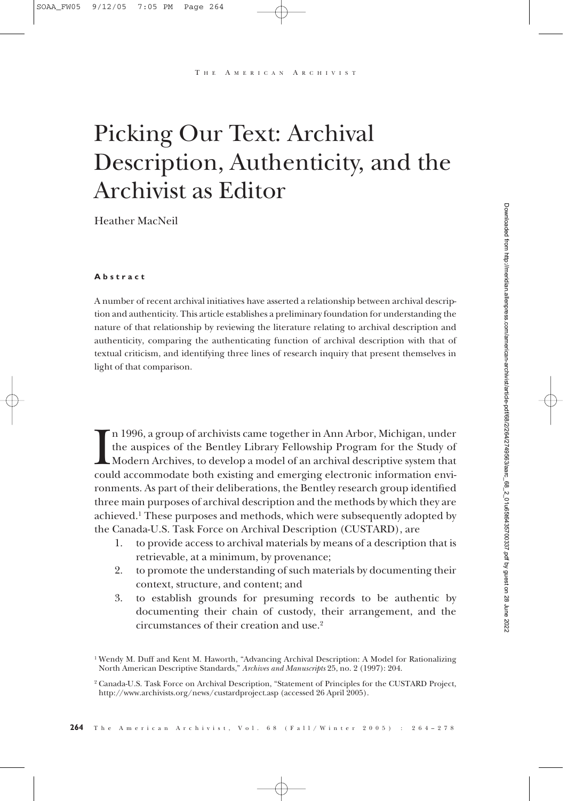A MERICAN ARCHIVIST

# Picking Our Text: Archival Description, Authenticity, and the Archivist as Editor

Heather MacNeil

#### **Abstract**

A number of recent archival initiatives have asserted a relationship between archival description and authenticity. This article establishes a preliminary foundation for understanding the nature of that relationship by reviewing the literature relating to archival description and authenticity, comparing the authenticating function of archival description with that of textual criticism, and identifying three lines of research inquiry that present themselves in light of that comparison.

In 1996, a group of archivists came together in Ann Arbor, Michigan, under<br>the auspices of the Bentley Library Fellowship Program for the Study of<br>Modern Archives, to develop a model of an archival descriptive system that<br> n 1996, a group of archivists came together in Ann Arbor, Michigan, under the auspices of the Bentley Library Fellowship Program for the Study of Modern Archives, to develop a model of an archival descriptive system that ronments. As part of their deliberations, the Bentley research group identified three main purposes of archival description and the methods by which they are achieved.1 These purposes and methods, which were subsequently adopted by the Canada-U.S. Task Force on Archival Description (CUSTARD), are

- 1. to provide access to archival materials by means of a description that is retrievable, at a minimum, by provenance;
- 2. to promote the understanding of such materials by documenting their context, structure, and content; and
- 3. to establish grounds for presuming records to be authentic by documenting their chain of custody, their arrangement, and the circumstances of their creation and use.2

<sup>1</sup> Wendy M. Duff and Kent M. Haworth, "Advancing Archival Description: A Model for Rationalizing North American Descriptive Standards," *Archives and Manuscripts* 25, no. 2 (1997): 204.

<sup>2</sup> Canada-U.S. Task Force on Archival Description, "Statement of Principles for the CUSTARD Project, http://www.archivists.org/news/custardproject.asp (accessed 26 April 2005).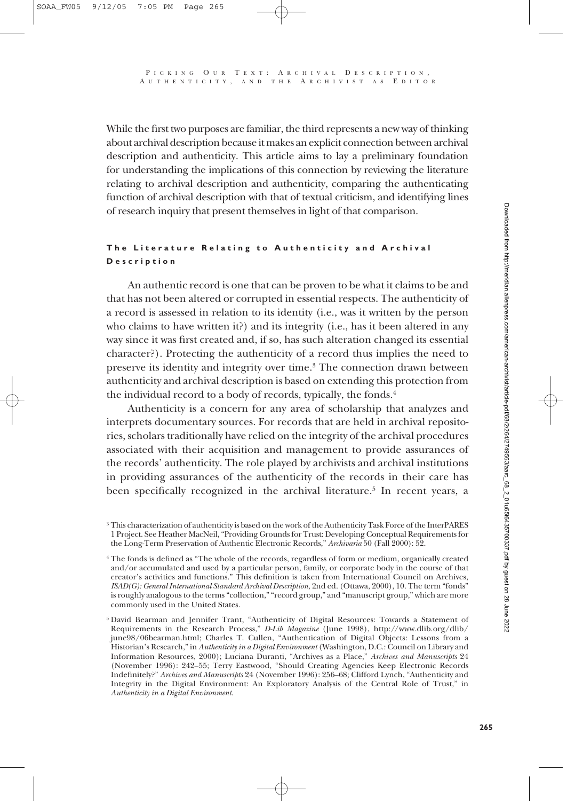While the first two purposes are familiar, the third represents a new way of thinking about archival description because it makes an explicit connection between archival description and authenticity. This article aims to lay a preliminary foundation for understanding the implications of this connection by reviewing the literature relating to archival description and authenticity, comparing the authenticating function of archival description with that of textual criticism, and identifying lines of research inquiry that present themselves in light of that comparison.

#### **The Literature Relating to Authenticity and Archival Description**

An authentic record is one that can be proven to be what it claims to be and that has not been altered or corrupted in essential respects. The authenticity of a record is assessed in relation to its identity (i.e., was it written by the person who claims to have written it?) and its integrity (i.e., has it been altered in any way since it was first created and, if so, has such alteration changed its essential character?). Protecting the authenticity of a record thus implies the need to preserve its identity and integrity over time.3 The connection drawn between authenticity and archival description is based on extending this protection from the individual record to a body of records, typically, the fonds.<sup>4</sup>

Authenticity is a concern for any area of scholarship that analyzes and interprets documentary sources. For records that are held in archival repositories, scholars traditionally have relied on the integrity of the archival procedures associated with their acquisition and management to provide assurances of the records' authenticity. The role played by archivists and archival institutions in providing assurances of the authenticity of the records in their care has been specifically recognized in the archival literature.<sup>5</sup> In recent years, a

<sup>3</sup> This characterization of authenticity is based on the work of the Authenticity Task Force of the InterPARES 1 Project. See Heather MacNeil, "Providing Grounds for Trust: Developing Conceptual Requirements for the Long-Term Preservation of Authentic Electronic Records," *Archivaria* 50 (Fall 2000): 52.

<sup>4</sup> The fonds is defined as "The whole of the records, regardless of form or medium, organically created and/or accumulated and used by a particular person, family, or corporate body in the course of that creator's activities and functions." This definition is taken from International Council on Archives, *ISAD(G): General International Standard Archival Description*, 2nd ed. (Ottawa, 2000), 10. The term "fonds" is roughly analogous to the terms "collection," "record group," and "manuscript group," which are more commonly used in the United States.

<sup>5</sup> David Bearman and Jennifer Trant, "Authenticity of Digital Resources: Towards a Statement of Requirements in the Research Process," *D-Lib Magazine* (June 1998), http://www.dlib.org/dlib/ june98/06bearman.html; Charles T. Cullen, "Authentication of Digital Objects: Lessons from a Historian's Research," in *Authenticity in a Digital Environment* (Washington, D.C.: Council on Library and Information Resources, 2000); Luciana Duranti, "Archives as a Place," *Archives and Manuscripts* 24 (November 1996): 242–55; Terry Eastwood, "Should Creating Agencies Keep Electronic Records Indefinitely?" *Archives and Manuscripts* 24 (November 1996): 256–68; Clifford Lynch, "Authenticity and Integrity in the Digital Environment: An Exploratory Analysis of the Central Role of Trust," in *Authenticity in a Digital Environment*.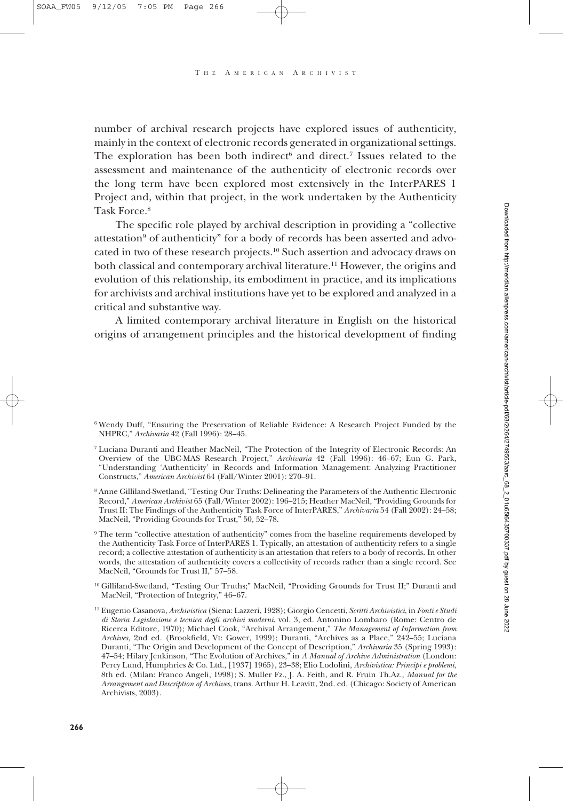number of archival research projects have explored issues of authenticity, mainly in the context of electronic records generated in organizational settings. The exploration has been both indirect<sup>6</sup> and direct.<sup>7</sup> Issues related to the assessment and maintenance of the authenticity of electronic records over the long term have been explored most extensively in the InterPARES 1 Project and, within that project, in the work undertaken by the Authenticity Task Force.8

The specific role played by archival description in providing a "collective attestation<sup>9</sup> of authenticity" for a body of records has been asserted and advocated in two of these research projects.10 Such assertion and advocacy draws on both classical and contemporary archival literature.11 However, the origins and evolution of this relationship, its embodiment in practice, and its implications for archivists and archival institutions have yet to be explored and analyzed in a critical and substantive way.

A limited contemporary archival literature in English on the historical origins of arrangement principles and the historical development of finding

<sup>10</sup> Gilliland-Swetland, "Testing Our Truths;" MacNeil, "Providing Grounds for Trust II;" Duranti and MacNeil, "Protection of Integrity," 46–67.

<sup>6</sup> Wendy Duff, "Ensuring the Preservation of Reliable Evidence: A Research Project Funded by the NHPRC," *Archivaria* 42 (Fall 1996): 28–45.

<sup>7</sup> Luciana Duranti and Heather MacNeil, "The Protection of the Integrity of Electronic Records: An Overview of the UBC-MAS Research Project," *Archivaria* 42 (Fall 1996): 46–67; Eun G. Park, "Understanding 'Authenticity' in Records and Information Management: Analyzing Practitioner Constructs," *American Archivist* 64 (Fall/Winter 2001): 270–91.

<sup>8</sup> Anne Gilliland-Swetland, "Testing Our Truths: Delineating the Parameters of the Authentic Electronic Record," *American Archivist* 65 (Fall/Winter 2002): 196–215; Heather MacNeil, "Providing Grounds for Trust II: The Findings of the Authenticity Task Force of InterPARES," *Archivaria* 54 (Fall 2002): 24–58; MacNeil, "Providing Grounds for Trust," 50, 52–78.

<sup>9</sup> The term "collective attestation of authenticity" comes from the baseline requirements developed by the Authenticity Task Force of InterPARES 1. Typically, an attestation of authenticity refers to a single record; a collective attestation of authenticity is an attestation that refers to a body of records. In other words, the attestation of authenticity covers a collectivity of records rather than a single record. See MacNeil, "Grounds for Trust II," 57–58.

<sup>11</sup> Eugenio Casanova, *Archivistica* (Siena: Lazzeri, 1928); Giorgio Cencetti, *Scritti Archivistici*, in *Fonti e Studi di Storia Legislazione e tecnica degli archivi moderni*, vol. 3, ed. Antonino Lombaro (Rome: Centro de Ricerca Editore, 1970); Michael Cook, "Archival Arrangement," *The Management of Information from Archives*, 2nd ed. (Brookfield, Vt: Gower, 1999); Duranti, "Archives as a Place," 242–55; Luciana Duranti, "The Origin and Development of the Concept of Description," *Archivaria* 35 (Spring 1993): 47–54; Hilary Jenkinson, "The Evolution of Archives," in *A Manual of Archive Administration* (London: Percy Lund, Humphries & Co. Ltd., [1937] 1965), 23–38; Elio Lodolini, *Archivistica: Principi e problemi*, 8th ed. (Milan: Franco Angeli, 1998); S. Muller Fz., J. A. Feith, and R. Fruin Th.Az., *Manual for the Arrangement and Description of Archives*, trans. Arthur H. Leavitt, 2nd. ed. (Chicago: Society of American Archivists, 2003).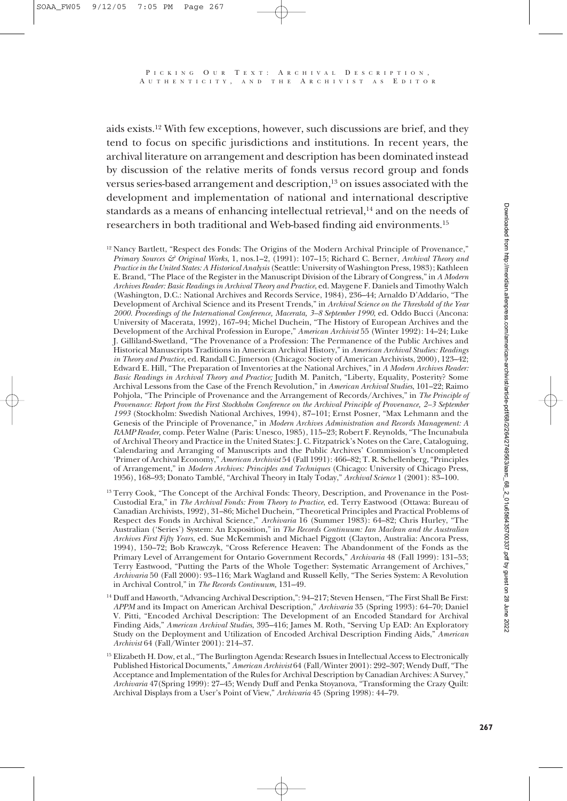aids exists.12 With few exceptions, however, such discussions are brief, and they tend to focus on specific jurisdictions and institutions. In recent years, the archival literature on arrangement and description has been dominated instead by discussion of the relative merits of fonds versus record group and fonds versus series-based arrangement and description,<sup>13</sup> on issues associated with the development and implementation of national and international descriptive standards as a means of enhancing intellectual retrieval,<sup>14</sup> and on the needs of researchers in both traditional and Web-based finding aid environments.15

- <sup>12</sup> Nancy Bartlett, "Respect des Fonds: The Origins of the Modern Archival Principle of Provenance," *Primary Sources & Original Works*, 1, nos.1–2, (1991): 107–15; Richard C. Berner, *Archival Theory and Practice in the United States: A Historical Analysis* (Seattle: University of Washington Press, 1983); Kathleen E. Brand, "The Place of the Register in the Manuscript Division of the Library of Congress," in *A Modern Archives Reader: Basic Readings in Archival Theory and Practice*, ed. Maygene F. Daniels and Timothy Walch (Washington, D.C.: National Archives and Records Service, 1984), 236–44; Arnaldo D'Addario, "The Development of Archival Science and its Present Trends," in *Archival Science on the Threshold of the Year 2000. Proceedings of the International Conference, Macerata, 3–8 September 1990*, ed. Oddo Bucci (Ancona: University of Macerata, 1992), 167–94; Michel Duchein, "The History of European Archives and the Development of the Archival Profession in Europe," *American Archivist* 55 (Winter 1992): 14–24; Luke J. Gilliland-Swetland, "The Provenance of a Profession: The Permanence of the Public Archives and Historical Manuscripts Traditions in American Archival History," in *American Archival Studies: Readings in Theory and Practice*, ed. Randall C. Jimerson (Chicago: Society of American Archivists, 2000), 123–42; Edward E. Hill, "The Preparation of Inventories at the National Archives," in *A Modern Archives Reader: Basic Readings in Archival Theory and Practice;* Judith M. Panitch, "Liberty, Equality, Posterity? Some Archival Lessons from the Case of the French Revolution," in *American Archival Studies*, 101–22; Raimo Pohjola, "The Principle of Provenance and the Arrangement of Records/Archives," in *The Principle of Provenance: Report from the First Stockholm Conference on the Archival Principle of Provenance, 2–3 September 1993* (Stockholm: Swedish National Archives, 1994), 87–101; Ernst Posner, "Max Lehmann and the Genesis of the Principle of Provenance," in *Modern Archives Administration and Records Management: A RAMP Reader,* comp. Peter Walne (Paris: Unesco, 1985), 115–23; Robert F. Reynolds, "The Incunabula of Archival Theory and Practice in the United States: J. C. Fitzpatrick's Notes on the Care, Cataloguing, Calendaring and Arranging of Manuscripts and the Public Archives' Commission's Uncompleted 'Primer of Archival Economy," *American Archivist* 54 (Fall 1991): 466–82; T. R. Schellenberg, "Principles of Arrangement," in *Modern Archives: Principles and Techniques* (Chicago: University of Chicago Press, 1956), 168–93; Donato Tamblé, "Archival Theory in Italy Today," *Archival Science* 1 (2001): 83–100.
- <sup>13</sup> Terry Cook, "The Concept of the Archival Fonds: Theory, Description, and Provenance in the Post-Custodial Era," in *The Archival Fonds: From Theory to Practice*, ed. Terry Eastwood (Ottawa: Bureau of Canadian Archivists, 1992), 31–86; Michel Duchein, "Theoretical Principles and Practical Problems of Respect des Fonds in Archival Science," *Archivaria* 16 (Summer 1983): 64–82; Chris Hurley, "The Australian ('Series') System: An Exposition," in *The Records Continuum: Ian Maclean and the Australian Archives First Fifty Years*, ed. Sue McKemmish and Michael Piggott (Clayton, Australia: Ancora Press, 1994), 150–72; Bob Krawczyk, "Cross Reference Heaven: The Abandonment of the Fonds as the Primary Level of Arrangement for Ontario Government Records," *Archivaria* 48 (Fall 1999): 131–53; Terry Eastwood, "Putting the Parts of the Whole Together: Systematic Arrangement of Archives," *Archivaria* 50 (Fall 2000): 93–116; Mark Wagland and Russell Kelly, "The Series System: A Revolution in Archival Control," in *The Records Continuum,* 131–49.
- <sup>14</sup> Duff and Haworth, "Advancing Archival Description,": 94-217; Steven Hensen, "The First Shall Be First: *APPM* and its Impact on American Archival Description," *Archivaria* 35 (Spring 1993): 64–70; Daniel V. Pitti, "Encoded Archival Description: The Development of an Encoded Standard for Archival Finding Aids," *American Archival Studies*, 395–416; James M. Roth, "Serving Up EAD: An Exploratory Study on the Deployment and Utilization of Encoded Archival Description Finding Aids," *American Archivist* 64 (Fall/Winter 2001): 214–37.
- <sup>15</sup> Elizabeth H. Dow, et al., "The Burlington Agenda: Research Issues in Intellectual Access to Electronically Published Historical Documents," *American Archivist* 64 (Fall/Winter 2001): 292–307; Wendy Duff, "The Acceptance and Implementation of the Rules for Archival Description by Canadian Archives: A Survey," *Archivaria* 47(Spring 1999): 27–45; Wendy Duff and Penka Stoyanova, "Transforming the Crazy Quilt: Archival Displays from a User's Point of View," *Archivaria* 45 (Spring 1998): 44–79.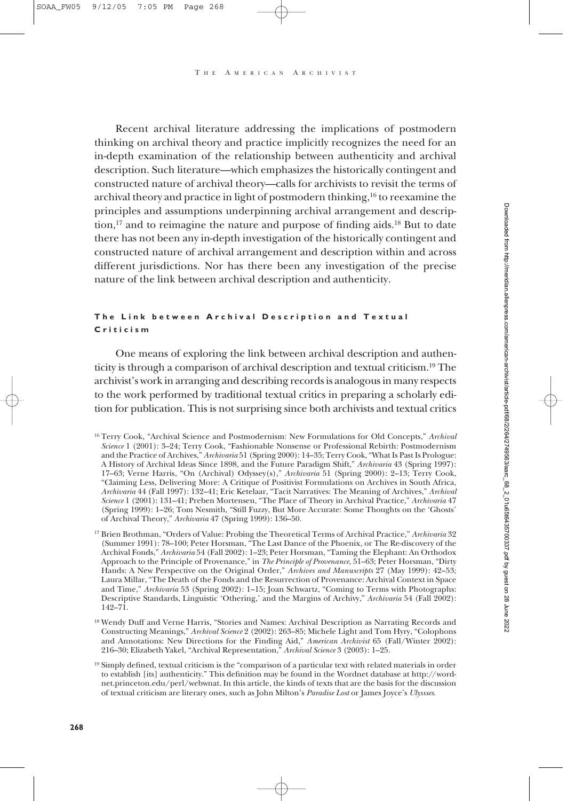Recent archival literature addressing the implications of postmodern thinking on archival theory and practice implicitly recognizes the need for an in-depth examination of the relationship between authenticity and archival description. Such literature—which emphasizes the historically contingent and constructed nature of archival theory—calls for archivists to revisit the terms of archival theory and practice in light of postmodern thinking,16 to reexamine the principles and assumptions underpinning archival arrangement and description,<sup>17</sup> and to reimagine the nature and purpose of finding aids.<sup>18</sup> But to date there has not been any in-depth investigation of the historically contingent and constructed nature of archival arrangement and description within and across different jurisdictions. Nor has there been any investigation of the precise nature of the link between archival description and authenticity.

#### **The Link between Archival Description and Textual Criticism**

One means of exploring the link between archival description and authenticity is through a comparison of archival description and textual criticism.19 The archivist's work in arranging and describing records is analogous in many respects to the work performed by traditional textual critics in preparing a scholarly edition for publication. This is not surprising since both archivists and textual critics

<sup>16</sup> Terry Cook, "Archival Science and Postmodernism: New Formulations for Old Concepts," *Archival Science* 1 (2001): 3–24; Terry Cook, "Fashionable Nonsense or Professional Rebirth: Postmodernism and the Practice of Archives," *Archivaria* 51 (Spring 2000): 14–35; Terry Cook, "What Is Past Is Prologue: A History of Archival Ideas Since 1898, and the Future Paradigm Shift," *Archivaria* 43 (Spring 1997): 17–63; Verne Harris, "On (Archival) Odyssey(s)," *Archivaria* 51 (Spring 2000): 2–13; Terry Cook, "Claiming Less, Delivering More: A Critique of Positivist Formulations on Archives in South Africa, *Archivaria* 44 (Fall 1997): 132–41; Eric Ketelaar, "Tacit Narratives: The Meaning of Archives," *Archival Science* 1 (2001): 131–41; Preben Mortensen, "The Place of Theory in Archival Practice," *Archivaria* 47 (Spring 1999): 1–26; Tom Nesmith, "Still Fuzzy, But More Accurate: Some Thoughts on the 'Ghosts' of Archival Theory," *Archivaria* 47 (Spring 1999): 136–50.

<sup>17</sup> Brien Brothman, "Orders of Value: Probing the Theoretical Terms of Archival Practice," *Archivaria* 32 (Summer 1991): 78–100; Peter Horsman, "The Last Dance of the Phoenix, or The Re-discovery of the Archival Fonds," *Archivaria* 54 (Fall 2002): 1–23; Peter Horsman, "Taming the Elephant: An Orthodox Approach to the Principle of Provenance," in *The Principle of Provenance*, 51–63; Peter Horsman, "Dirty Hands: A New Perspective on the Original Order," *Archives and Manuscripts* 27 (May 1999): 42–53; Laura Millar, "The Death of the Fonds and the Resurrection of Provenance: Archival Context in Space and Time," *Archivaria* 53 (Spring 2002): 1–15; Joan Schwartz, "Coming to Terms with Photographs: Descriptive Standards, Linguistic 'Othering,' and the Margins of Archivy," *Archivaria* 54 (Fall 2002): 142–71.

<sup>18</sup> Wendy Duff and Verne Harris, "Stories and Names: Archival Description as Narrating Records and Constructing Meanings," *Archival Science* 2 (2002): 263–85; Michele Light and Tom Hyry, "Colophons and Annotations: New Directions for the Finding Aid," *American Archivist* 65 (Fall/Winter 2002): 216–30; Elizabeth Yakel, "Archival Representation," *Archival Science* 3 (2003): 1–25.

<sup>19</sup> Simply defined, textual criticism is the "comparison of a particular text with related materials in order to establish [its] authenticity." This definition may be found in the Wordnet database at http://wordnet.princeton.edu/perl/webwnat. In this article, the kinds of texts that are the basis for the discussion of textual criticism are literary ones, such as John Milton's *Paradise Lost* or James Joyce's *Ulyssses*.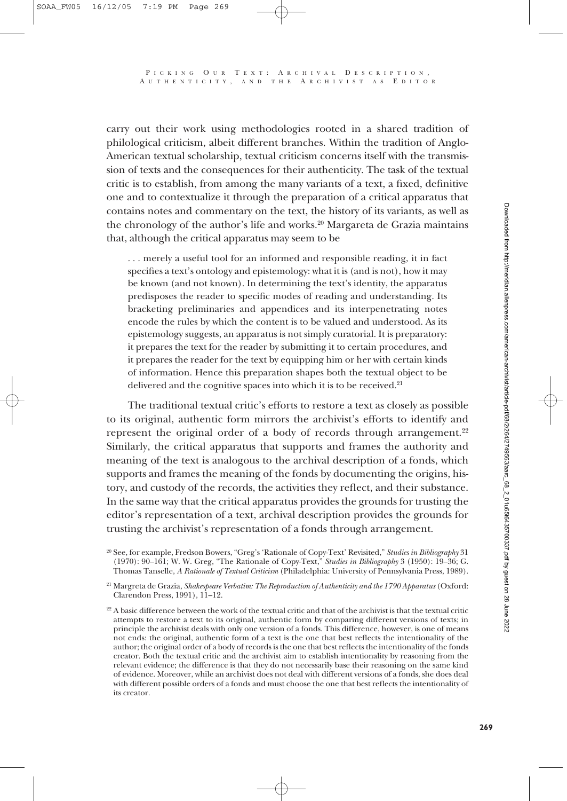carry out their work using methodologies rooted in a shared tradition of philological criticism, albeit different branches. Within the tradition of Anglo-American textual scholarship, textual criticism concerns itself with the transmission of texts and the consequences for their authenticity. The task of the textual critic is to establish, from among the many variants of a text, a fixed, definitive one and to contextualize it through the preparation of a critical apparatus that contains notes and commentary on the text, the history of its variants, as well as the chronology of the author's life and works.20 Margareta de Grazia maintains that, although the critical apparatus may seem to be

... merely a useful tool for an informed and responsible reading, it in fact specifies a text's ontology and epistemology: what it is (and is not), how it may be known (and not known). In determining the text's identity, the apparatus predisposes the reader to specific modes of reading and understanding. Its bracketing preliminaries and appendices and its interpenetrating notes encode the rules by which the content is to be valued and understood. As its epistemology suggests, an apparatus is not simply curatorial. It is preparatory: it prepares the text for the reader by submitting it to certain procedures, and it prepares the reader for the text by equipping him or her with certain kinds of information. Hence this preparation shapes both the textual object to be delivered and the cognitive spaces into which it is to be received.<sup>21</sup>

The traditional textual critic's efforts to restore a text as closely as possible to its original, authentic form mirrors the archivist's efforts to identify and represent the original order of a body of records through arrangement.<sup>22</sup> Similarly, the critical apparatus that supports and frames the authority and meaning of the text is analogous to the archival description of a fonds, which supports and frames the meaning of the fonds by documenting the origins, history, and custody of the records, the activities they reflect, and their substance. In the same way that the critical apparatus provides the grounds for trusting the editor's representation of a text, archival description provides the grounds for trusting the archivist's representation of a fonds through arrangement.

<sup>20</sup> See, for example, Fredson Bowers, "Greg's 'Rationale of Copy-Text' Revisited," *Studies in Bibliography* 31 (1970): 90–161; W. W. Greg, "The Rationale of Copy-Text," *Studies in Bibliography* 3 (1950): 19–36; G. Thomas Tanselle, *A Rationale of Textual Criticism* (Philadelphia: University of Pennsylvania Press, 1989).

<sup>21</sup> Margreta de Grazia, *Shakespeare Verbatim: The Reproduction of Authenticity and the 1790 Apparatus* (Oxford: Clarendon Press, 1991), 11–12.

<sup>&</sup>lt;sup>22</sup> A basic difference between the work of the textual critic and that of the archivist is that the textual critic attempts to restore a text to its original, authentic form by comparing different versions of texts; in principle the archivist deals with only one version of a fonds. This difference, however, is one of means not ends: the original, authentic form of a text is the one that best reflects the intentionality of the author; the original order of a body of records is the one that best reflects the intentionality of the fonds creator. Both the textual critic and the archivist aim to establish intentionality by reasoning from the relevant evidence; the difference is that they do not necessarily base their reasoning on the same kind of evidence. Moreover, while an archivist does not deal with different versions of a fonds, she does deal with different possible orders of a fonds and must choose the one that best reflects the intentionality of its creator.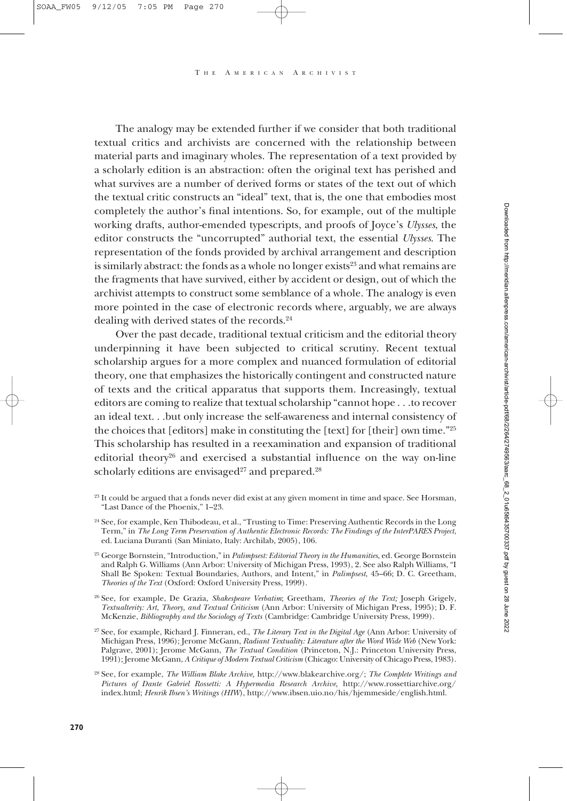The analogy may be extended further if we consider that both traditional textual critics and archivists are concerned with the relationship between material parts and imaginary wholes. The representation of a text provided by a scholarly edition is an abstraction: often the original text has perished and what survives are a number of derived forms or states of the text out of which the textual critic constructs an "ideal" text, that is, the one that embodies most completely the author's final intentions. So, for example, out of the multiple working drafts, author-emended typescripts, and proofs of Joyce's *Ulysses*, the editor constructs the "uncorrupted" authorial text, the essential *Ulysses*. The representation of the fonds provided by archival arrangement and description is similarly abstract: the fonds as a whole no longer exists $2<sup>3</sup>$  and what remains are the fragments that have survived, either by accident or design, out of which the archivist attempts to construct some semblance of a whole. The analogy is even more pointed in the case of electronic records where, arguably, we are always dealing with derived states of the records.24

Over the past decade, traditional textual criticism and the editorial theory underpinning it have been subjected to critical scrutiny. Recent textual scholarship argues for a more complex and nuanced formulation of editorial theory, one that emphasizes the historically contingent and constructed nature of texts and the critical apparatus that supports them. Increasingly, textual editors are coming to realize that textual scholarship "cannot hope . . .to recover an ideal text. . .but only increase the self-awareness and internal consistency of the choices that [editors] make in constituting the [text] for [their] own time."25 This scholarship has resulted in a reexamination and expansion of traditional editorial theory26 and exercised a substantial influence on the way on-line scholarly editions are envisaged $27$  and prepared.<sup>28</sup>

<sup>&</sup>lt;sup>23</sup> It could be argued that a fonds never did exist at any given moment in time and space. See Horsman, "Last Dance of the Phoenix," 1–23.

<sup>&</sup>lt;sup>24</sup> See, for example, Ken Thibodeau, et al., "Trusting to Time: Preserving Authentic Records in the Long Term," in *The Long Term Preservation of Authentic Electronic Records: The Findings of the InterPARES Project*, ed. Luciana Duranti (San Miniato, Italy: Archilab, 2005), 106.

<sup>25</sup> George Bornstein, "Introduction," in *Palimpsest: Editorial Theory in the Humanities*, ed. George Bornstein and Ralph G. Williams (Ann Arbor: University of Michigan Press, 1993), 2. See also Ralph Williams, "I Shall Be Spoken: Textual Boundaries, Authors, and Intent," in *Palimpsest*, 45–66; D. C. Greetham, *Theories of the Text* (Oxford: Oxford University Press, 1999).

<sup>26</sup> See, for example, De Grazia, *Shakespeare Verbatim*; Greetham, *Theories of the Text;* Joseph Grigely, *Textualterity: Art, Theory, and Textual Criticism* (Ann Arbor: University of Michigan Press, 1995); D. F. McKenzie, *Bibliography and the Sociology of Texts* (Cambridge: Cambridge University Press, 1999).

<sup>27</sup> See, for example, Richard J. Finneran, ed., *The Literary Text in the Digital Age* (Ann Arbor: University of Michigan Press, 1996); Jerome McGann, *Radiant Textuality: Literature after the Word Wide Web* (New York: Palgrave, 2001); Jerome McGann, *The Textual Condition* (Princeton, N.J.: Princeton University Press, 1991); Jerome McGann, *A Critique of Modern Textual Criticism* (Chicago: University of Chicago Press, 1983).

<sup>28</sup> See, for example, *The William Blake Archive,* http://www.blakearchive.org/; *The Complete Writings and Pictures of Dante Gabriel Rossetti: A Hypermedia Research Archive,* http://www.rossettiarchive.org/ index.html; *Henrik Ibsen's Writings (HIW*), http://www.ibsen.uio.no/his/hjemmeside/english.html.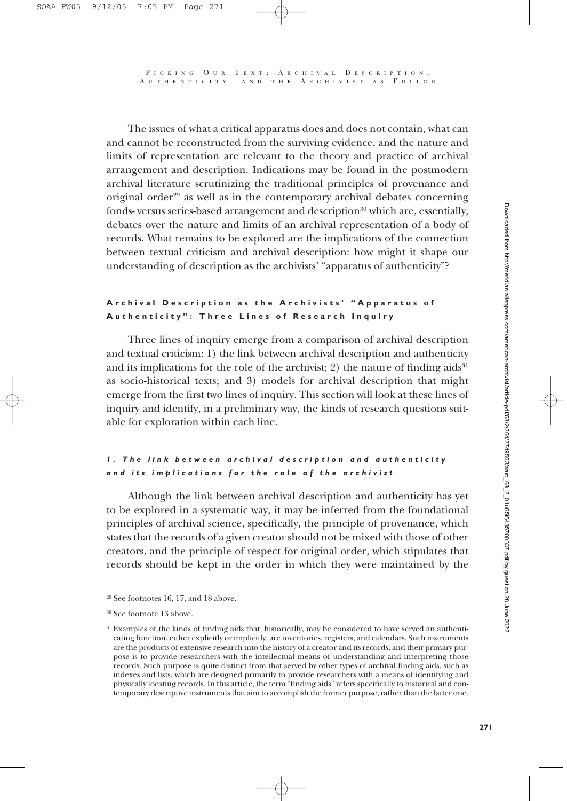The issues of what a critical apparatus does and does not contain, what can and cannot be reconstructed from the surviving evidence, and the nature and limits of representation are relevant to the theory and practice of archival arrangement and description. Indications may be found in the postmodern archival literature scrutinizing the traditional principles of provenance and original order<sup>29</sup> as well as in the contemporary archival debates concerning fonds- versus series-based arrangement and description<sup>30</sup> which are, essentially, debates over the nature and limits of an archival representation of a body of records. What remains to be explored are the implications of the connection between textual criticism and archival description: how might it shape our understanding of description as the archivists' "apparatus of authenticity"?

#### **Archival Description as the Archivists' "Apparatus of Authenticity": Three Lines of Research Inquiry**

Three lines of inquiry emerge from a comparison of archival description and textual criticism: 1) the link between archival description and authenticity and its implications for the role of the archivist; 2) the nature of finding  $aids<sup>31</sup>$ as socio-historical texts; and 3) models for archival description that might emerge from the first two lines of inquiry. This section will look at these lines of inquiry and identify, in a preliminary way, the kinds of research questions suitable for exploration within each line.

## *1. The link between archival description and authenticity and its implications for the role of the archivist*

Although the link between archival description and authenticity has yet to be explored in a systematic way, it may be inferred from the foundational principles of archival science, specifically, the principle of provenance, which states that the records of a given creator should not be mixed with those of other creators, and the principle of respect for original order, which stipulates that records should be kept in the order in which they were maintained by the

 $29$  See footnotes 16, 17, and 18 above.

<sup>30</sup> See footnote 13 above.

<sup>&</sup>lt;sup>31</sup> Examples of the kinds of finding aids that, historically, may be considered to have served an authenticating function, either explicitly or implicitly, are inventories, registers, and calendars. Such instruments are the products of extensive research into the history of a creator and its records, and their primary purpose is to provide researchers with the intellectual means of understanding and interpreting those records. Such purpose is quite distinct from that served by other types of archival finding aids, such as indexes and lists, which are designed primarily to provide researchers with a means of identifying and physically locating records. In this article, the term "finding aids" refers specifically to historical and contemporary descriptive instruments that aim to accomplish the former purpose, rather than the latter one.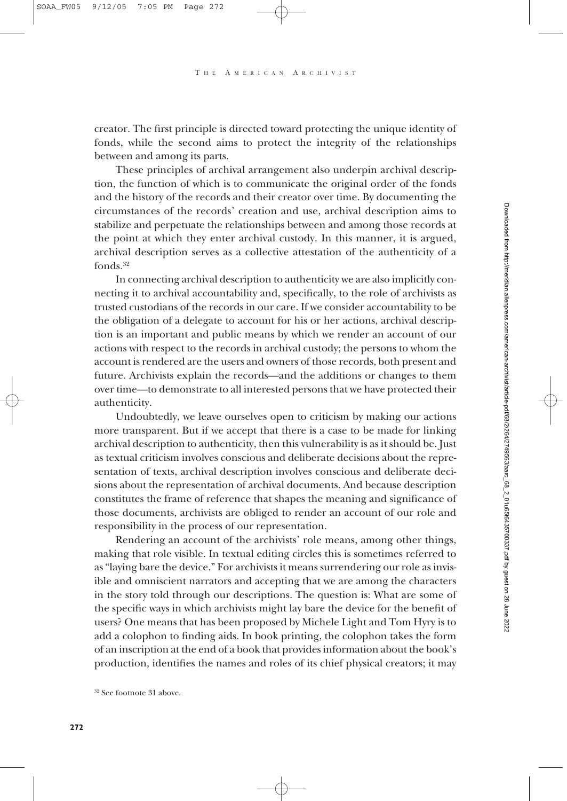creator. The first principle is directed toward protecting the unique identity of fonds, while the second aims to protect the integrity of the relationships between and among its parts.

These principles of archival arrangement also underpin archival description, the function of which is to communicate the original order of the fonds and the history of the records and their creator over time. By documenting the circumstances of the records' creation and use, archival description aims to stabilize and perpetuate the relationships between and among those records at the point at which they enter archival custody. In this manner, it is argued, archival description serves as a collective attestation of the authenticity of a fonds.32

In connecting archival description to authenticity we are also implicitly connecting it to archival accountability and, specifically, to the role of archivists as trusted custodians of the records in our care. If we consider accountability to be the obligation of a delegate to account for his or her actions, archival description is an important and public means by which we render an account of our actions with respect to the records in archival custody; the persons to whom the account is rendered are the users and owners of those records, both present and future. Archivists explain the records—and the additions or changes to them over time—to demonstrate to all interested persons that we have protected their authenticity.

Undoubtedly, we leave ourselves open to criticism by making our actions more transparent. But if we accept that there is a case to be made for linking archival description to authenticity, then this vulnerability is as it should be. Just as textual criticism involves conscious and deliberate decisions about the representation of texts, archival description involves conscious and deliberate decisions about the representation of archival documents. And because description constitutes the frame of reference that shapes the meaning and significance of those documents, archivists are obliged to render an account of our role and responsibility in the process of our representation.

Rendering an account of the archivists' role means, among other things, making that role visible. In textual editing circles this is sometimes referred to as "laying bare the device." For archivists it means surrendering our role as invisible and omniscient narrators and accepting that we are among the characters in the story told through our descriptions. The question is: What are some of the specific ways in which archivists might lay bare the device for the benefit of users? One means that has been proposed by Michele Light and Tom Hyry is to add a colophon to finding aids. In book printing, the colophon takes the form of an inscription at the end of a book that provides information about the book's production, identifies the names and roles of its chief physical creators; it may

<sup>32</sup> See footnote 31 above.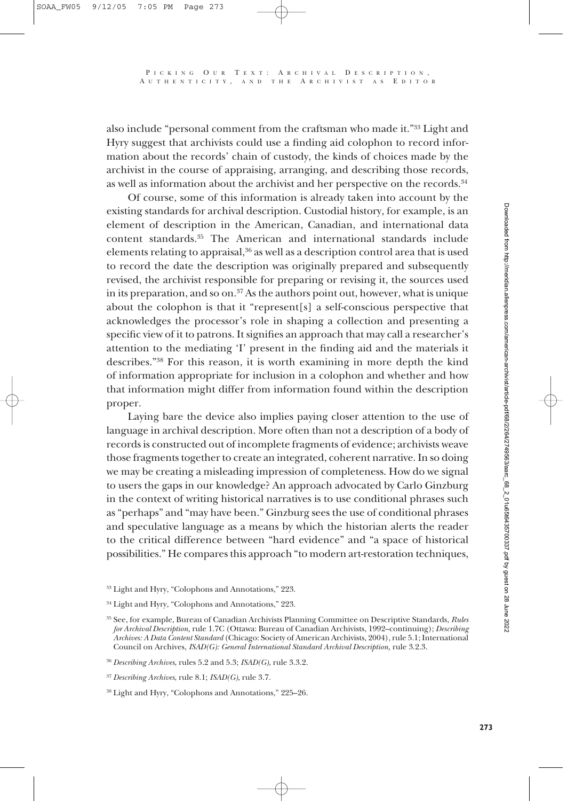also include "personal comment from the craftsman who made it."33 Light and Hyry suggest that archivists could use a finding aid colophon to record information about the records' chain of custody, the kinds of choices made by the archivist in the course of appraising, arranging, and describing those records, as well as information about the archivist and her perspective on the records.<sup>34</sup>

A UTHENTICITY , AND THE A RCHIVIST AS E DITOR

Of course, some of this information is already taken into account by the existing standards for archival description. Custodial history, for example, is an element of description in the American, Canadian, and international data content standards.35 The American and international standards include elements relating to appraisal,<sup>36</sup> as well as a description control area that is used to record the date the description was originally prepared and subsequently revised, the archivist responsible for preparing or revising it, the sources used in its preparation, and so on. $37$  As the authors point out, however, what is unique about the colophon is that it "represent[s] a self-conscious perspective that acknowledges the processor's role in shaping a collection and presenting a specific view of it to patrons. It signifies an approach that may call a researcher's attention to the mediating 'I' present in the finding aid and the materials it describes."38 For this reason, it is worth examining in more depth the kind of information appropriate for inclusion in a colophon and whether and how that information might differ from information found within the description proper.

Laying bare the device also implies paying closer attention to the use of language in archival description. More often than not a description of a body of records is constructed out of incomplete fragments of evidence; archivists weave those fragments together to create an integrated, coherent narrative. In so doing we may be creating a misleading impression of completeness. How do we signal to users the gaps in our knowledge? An approach advocated by Carlo Ginzburg in the context of writing historical narratives is to use conditional phrases such as "perhaps" and "may have been." Ginzburg sees the use of conditional phrases and speculative language as a means by which the historian alerts the reader to the critical difference between "hard evidence" and "a space of historical possibilities." He compares this approach "to modern art-restoration techniques,

<sup>33</sup> Light and Hyry, "Colophons and Annotations," 223.

<sup>34</sup> Light and Hyry, "Colophons and Annotations," 223.

<sup>35</sup> See, for example, Bureau of Canadian Archivists Planning Committee on Descriptive Standards, *Rules for Archival Description,* rule 1.7C (Ottawa: Bureau of Canadian Archivists, 1992–continuing); *Describing Archives: A Data Content Standard* (Chicago: Society of American Archivists, 2004), rule 5.1; International Council on Archives, *ISAD(G): General International Standard Archival Description,* rule 3.2.3.

<sup>36</sup> *Describing Archives*, rules 5.2 and 5.3; *ISAD(G)*, rule 3.3.2.

<sup>37</sup> *Describing Archives*, rule 8.1; *ISAD(G)*, rule 3.7.

<sup>38</sup> Light and Hyry, "Colophons and Annotations," 225–26.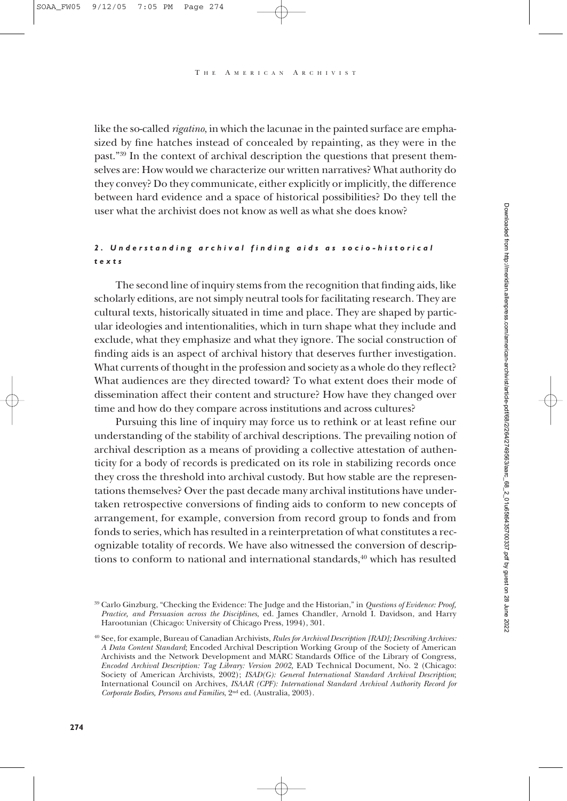like the so-called *rigatino*, in which the lacunae in the painted surface are emphasized by fine hatches instead of concealed by repainting, as they were in the past."39 In the context of archival description the questions that present themselves are: How would we characterize our written narratives? What authority do they convey? Do they communicate, either explicitly or implicitly, the difference between hard evidence and a space of historical possibilities? Do they tell the user what the archivist does not know as well as what she does know?

## *2. Understanding archival finding aids as socio-historical texts*

The second line of inquiry stems from the recognition that finding aids, like scholarly editions, are not simply neutral tools for facilitating research. They are cultural texts, historically situated in time and place. They are shaped by particular ideologies and intentionalities, which in turn shape what they include and exclude, what they emphasize and what they ignore. The social construction of finding aids is an aspect of archival history that deserves further investigation. What currents of thought in the profession and society as a whole do they reflect? What audiences are they directed toward? To what extent does their mode of dissemination affect their content and structure? How have they changed over time and how do they compare across institutions and across cultures?

Pursuing this line of inquiry may force us to rethink or at least refine our understanding of the stability of archival descriptions. The prevailing notion of archival description as a means of providing a collective attestation of authenticity for a body of records is predicated on its role in stabilizing records once they cross the threshold into archival custody. But how stable are the representations themselves? Over the past decade many archival institutions have undertaken retrospective conversions of finding aids to conform to new concepts of arrangement, for example, conversion from record group to fonds and from fonds to series, which has resulted in a reinterpretation of what constitutes a recognizable totality of records. We have also witnessed the conversion of descriptions to conform to national and international standards, $40$  which has resulted

<sup>39</sup> Carlo Ginzburg, "Checking the Evidence: The Judge and the Historian," in *Questions of Evidence: Proof, Practice, and Persuasion across the Disciplines*, ed. James Chandler, Arnold I. Davidson, and Harry Harootunian (Chicago: University of Chicago Press, 1994), 301.

<sup>40</sup> See, for example, Bureau of Canadian Archivists, *Rules for Archival Description [RAD]; Describing Archives: A Data Content Standard*; Encoded Archival Description Working Group of the Society of American Archivists and the Network Development and MARC Standards Office of the Library of Congress, *Encoded Archival Description: Tag Library: Version 2002,* EAD Technical Document, No. 2 (Chicago: Society of American Archivists, 2002); *ISAD(G): General International Standard Archival Description*; International Council on Archives, *ISAAR (CPF): International Standard Archival Authority Record for Corporate Bodies, Persons and Families*, 2nd ed. (Australia, 2003).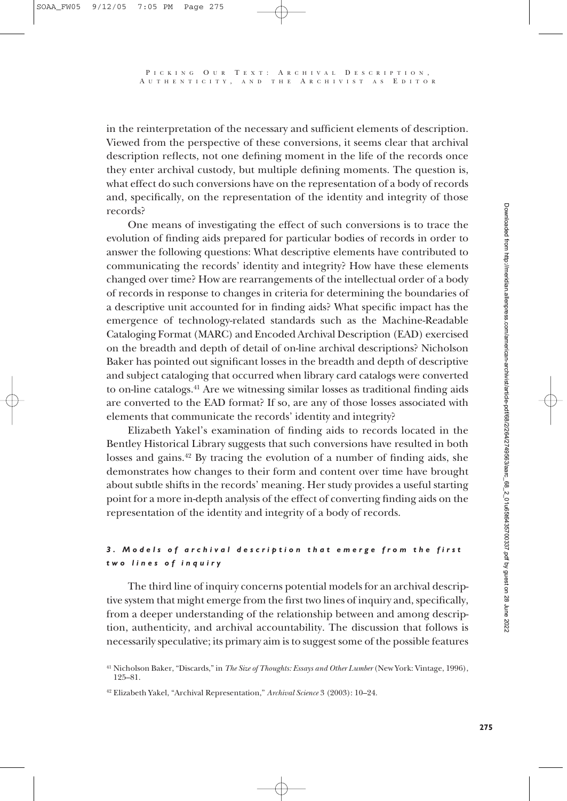in the reinterpretation of the necessary and sufficient elements of description. Viewed from the perspective of these conversions, it seems clear that archival description reflects, not one defining moment in the life of the records once they enter archival custody, but multiple defining moments. The question is, what effect do such conversions have on the representation of a body of records and, specifically, on the representation of the identity and integrity of those records?

One means of investigating the effect of such conversions is to trace the evolution of finding aids prepared for particular bodies of records in order to answer the following questions: What descriptive elements have contributed to communicating the records' identity and integrity? How have these elements changed over time? How are rearrangements of the intellectual order of a body of records in response to changes in criteria for determining the boundaries of a descriptive unit accounted for in finding aids? What specific impact has the emergence of technology-related standards such as the Machine-Readable Cataloging Format (MARC) and Encoded Archival Description (EAD) exercised on the breadth and depth of detail of on-line archival descriptions? Nicholson Baker has pointed out significant losses in the breadth and depth of descriptive and subject cataloging that occurred when library card catalogs were converted to on-line catalogs.41 Are we witnessing similar losses as traditional finding aids are converted to the EAD format? If so, are any of those losses associated with elements that communicate the records' identity and integrity?

Elizabeth Yakel's examination of finding aids to records located in the Bentley Historical Library suggests that such conversions have resulted in both losses and gains.42 By tracing the evolution of a number of finding aids, she demonstrates how changes to their form and content over time have brought about subtle shifts in the records' meaning. Her study provides a useful starting point for a more in-depth analysis of the effect of converting finding aids on the representation of the identity and integrity of a body of records.

## *3. Models of archival description that emerge from the first two lines of inquiry*

The third line of inquiry concerns potential models for an archival descriptive system that might emerge from the first two lines of inquiry and, specifically, from a deeper understanding of the relationship between and among description, authenticity, and archival accountability. The discussion that follows is necessarily speculative; its primary aim is to suggest some of the possible features

<sup>41</sup> Nicholson Baker, "Discards," in *The Size of Thoughts: Essays and Other Lumber* (New York: Vintage, 1996), 125–81.

<sup>42</sup> Elizabeth Yakel, "Archival Representation," *Archival Science* 3 (2003): 10–24.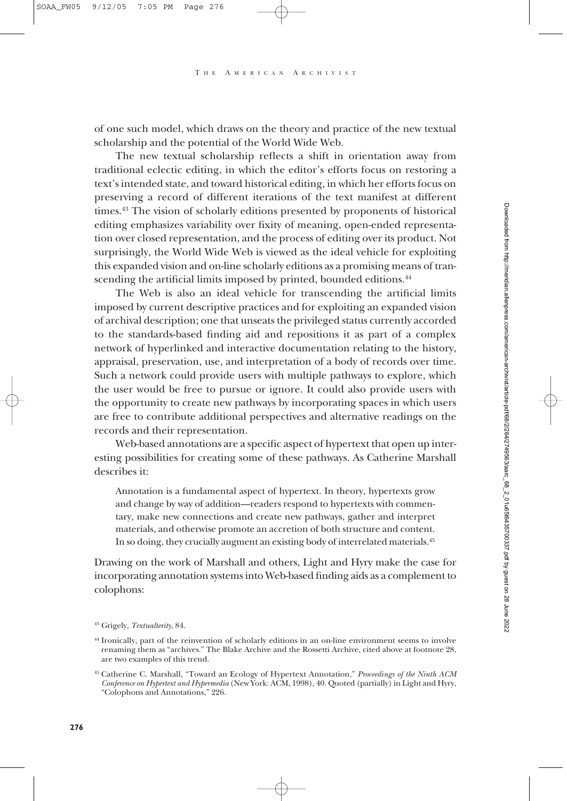T H E A MERICAN A RCHIVIST

of one such model, which draws on the theory and practice of the new textual scholarship and the potential of the World Wide Web.

The new textual scholarship reflects a shift in orientation away from traditional eclectic editing, in which the editor's efforts focus on restoring a text's intended state, and toward historical editing, in which her efforts focus on preserving a record of different iterations of the text manifest at different times.43 The vision of scholarly editions presented by proponents of historical editing emphasizes variability over fixity of meaning, open-ended representation over closed representation, and the process of editing over its product. Not surprisingly, the World Wide Web is viewed as the ideal vehicle for exploiting this expanded vision and on-line scholarly editions as a promising means of transcending the artificial limits imposed by printed, bounded editions.<sup>44</sup>

The Web is also an ideal vehicle for transcending the artificial limits imposed by current descriptive practices and for exploiting an expanded vision of archival description; one that unseats the privileged status currently accorded to the standards-based finding aid and repositions it as part of a complex network of hyperlinked and interactive documentation relating to the history, appraisal, preservation, use, and interpretation of a body of records over time. Such a network could provide users with multiple pathways to explore, which the user would be free to pursue or ignore. It could also provide users with the opportunity to create new pathways by incorporating spaces in which users are free to contribute additional perspectives and alternative readings on the records and their representation.

Web-based annotations are a specific aspect of hypertext that open up interesting possibilities for creating some of these pathways. As Catherine Marshall describes it:

Annotation is a fundamental aspect of hypertext. In theory, hypertexts grow and change by way of addition—readers respond to hypertexts with commentary, make new connections and create new pathways, gather and interpret materials, and otherwise promote an accretion of both structure and content. In so doing, they crucially augment an existing body of interrelated materials.45

Drawing on the work of Marshall and others, Light and Hyry make the case for incorporating annotation systems into Web-based finding aids as a complement to colophons:

<sup>43</sup> Grigely, *Textualterity*, 84.

<sup>44</sup> Ironically, part of the reinvention of scholarly editions in an on-line environment seems to involve renaming them as "archives." The Blake Archive and the Rossetti Archive, cited above at footnote 28, are two examples of this trend.

<sup>45</sup> Catherine C. Marshall, "Toward an Ecology of Hypertext Annotation," *Proceedings of the Ninth ACM Conference on Hypertext and Hypermedia* (New York: ACM, 1998), 40. Quoted (partially) in Light and Hyry, "Colophons and Annotations," 226.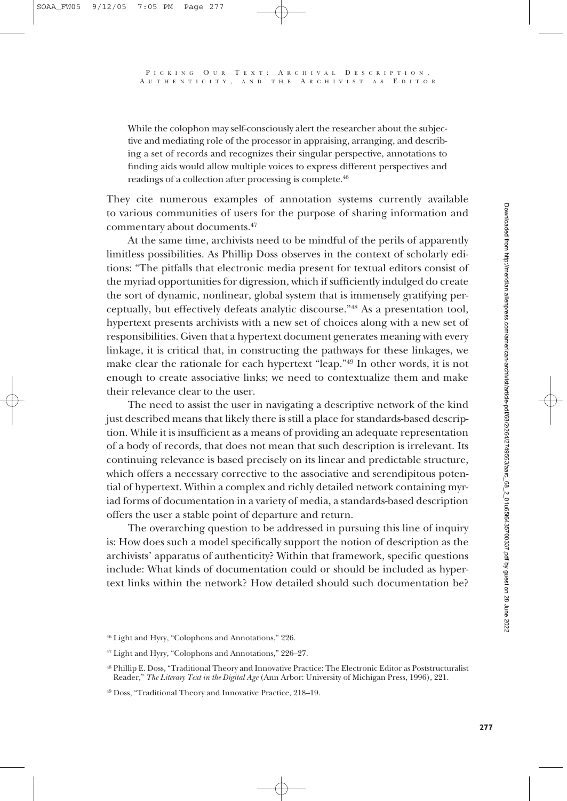While the colophon may self-consciously alert the researcher about the subjective and mediating role of the processor in appraising, arranging, and describing a set of records and recognizes their singular perspective, annotations to finding aids would allow multiple voices to express different perspectives and readings of a collection after processing is complete.46

They cite numerous examples of annotation systems currently available to various communities of users for the purpose of sharing information and commentary about documents.47

At the same time, archivists need to be mindful of the perils of apparently limitless possibilities. As Phillip Doss observes in the context of scholarly editions: "The pitfalls that electronic media present for textual editors consist of the myriad opportunities for digression, which if sufficiently indulged do create the sort of dynamic, nonlinear, global system that is immensely gratifying perceptually, but effectively defeats analytic discourse."48 As a presentation tool, hypertext presents archivists with a new set of choices along with a new set of responsibilities. Given that a hypertext document generates meaning with every linkage, it is critical that, in constructing the pathways for these linkages, we make clear the rationale for each hypertext "leap."49 In other words, it is not enough to create associative links; we need to contextualize them and make their relevance clear to the user.

The need to assist the user in navigating a descriptive network of the kind just described means that likely there is still a place for standards-based description. While it is insufficient as a means of providing an adequate representation of a body of records, that does not mean that such description is irrelevant. Its continuing relevance is based precisely on its linear and predictable structure, which offers a necessary corrective to the associative and serendipitous potential of hypertext. Within a complex and richly detailed network containing myriad forms of documentation in a variety of media, a standards-based description offers the user a stable point of departure and return.

The overarching question to be addressed in pursuing this line of inquiry is: How does such a model specifically support the notion of description as the archivists' apparatus of authenticity? Within that framework, specific questions include: What kinds of documentation could or should be included as hypertext links within the network? How detailed should such documentation be?

<sup>46</sup> Light and Hyry, "Colophons and Annotations," 226.

<sup>47</sup> Light and Hyry, "Colophons and Annotations," 226–27.

<sup>48</sup> Phillip E. Doss, "Traditional Theory and Innovative Practice: The Electronic Editor as Poststructuralist Reader," *The Literary Text in the Digital Age* (Ann Arbor: University of Michigan Press, 1996), 221.

<sup>49</sup> Doss, "Traditional Theory and Innovative Practice, 218–19.